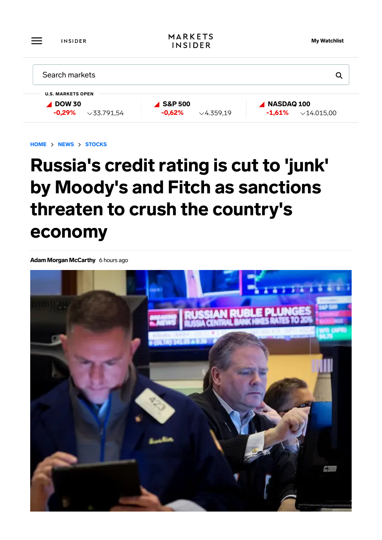| $\overbrace{\phantom{aaaaa}}$<br><b>INSIDER</b> | <b>MARKETS</b><br><b>INSIDER</b> | <b>My Watchlist</b>            |
|-------------------------------------------------|----------------------------------|--------------------------------|
| Search markets                                  |                                  | Q                              |
| <b>U.S. MARKETS OPEN</b>                        |                                  |                                |
| $\triangle$ DOW 30                              | <b>4 S&amp;P 500</b>             | NASDAQ 100                     |
| $-0,29%$<br>$\times$ 33.791,54                  | $-0,62%$<br>$\times$ 4.359,19    | $-1,61%$<br>$\times$ 14.015,00 |

HOME > NEWS > STOCKS

## Russia's credit rating is cut to 'junk' by Moody's and Fitch as sanctions threaten to crush the country's economy

Adam Morgan McCarthy 6 hours ago

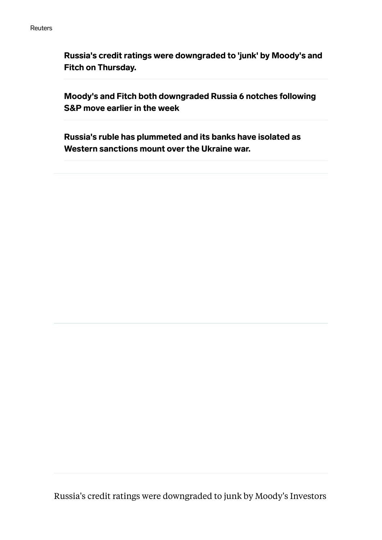Russia's credit ratings were downgraded to 'junk' by Moody's and Fitch on Thursday.

Moody's and Fitch both downgraded Russia 6 notches following S&P move earlier in the week

Russia's ruble has plummeted and its banks have isolated as Western sanctions mount over the Ukraine war.

Russia's credit ratings were downgraded to junk by Moody's Investors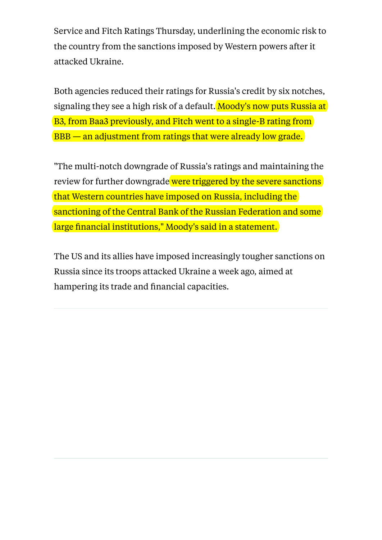Service and Fitch Ratings Thursday, underlining the economic risk to the country from the sanctions imposed by Western powers after it attacked Ukraine.

Both agencies reduced their ratings for Russia's credit by six notches, signaling they see a high risk of a default. Moody's now puts Russia at B3, from Baa3 previously, and Fitch went to a single-B rating from BBB — an adjustment from ratings that were already low grade.

"The multi-notch downgrade of Russia's ratings and maintaining the review for further downgrade were triggered by the severe sanctions that Western countries have imposed on Russia, including the sanctioning of the Central Bank of the Russian Federation and some large financial institutions," Moody's said in a statement.

The US and its allies have imposed increasingly tougher sanctions on Russia since its troops attacked Ukraine a week ago, aimed at hampering its trade and financial capacities.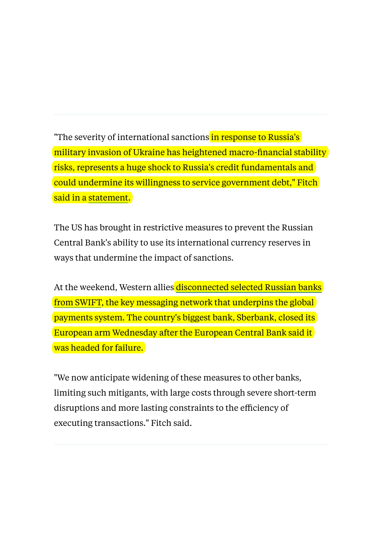"The severity of international sanctions in response to Russia's military invasion of Ukraine has heightened macro-financial stability risks, represents a huge shock to Russia's credit fundamentals and could undermine its willingness to service government debt," Fitch said in a [statement.](https://www.fitchratings.com/research/sovereigns/fitch-downgrades-russia-to-b-on-rating-watch-negative-02-03-2022)

The US has brought in restrictive measures to prevent the Russian Central Bank's ability to use its international currency reserves in ways that undermine the impact of sanctions.

At the weekend, Western allies [disconnected selected Russian banks](https://www.businessinsider.com/us-eu-announce-some-russian-banks-removed-from-swift-2022-2?utm_medium=ingest&utm_source=markets) [from SWIFT,](https://www.businessinsider.com/us-eu-announce-some-russian-banks-removed-from-swift-2022-2?utm_medium=ingest&utm_source=markets) the key messaging network that underpins the global payments system. The country's biggest bank, Sberbank, closed its European arm Wednesday after the European Central Bank said it was headed for failure.

"We now anticipate widening of these measures to other banks, limiting such mitigants, with large costs through severe short-term disruptions and more lasting constraints to the efficiency of executing transactions." Fitch said.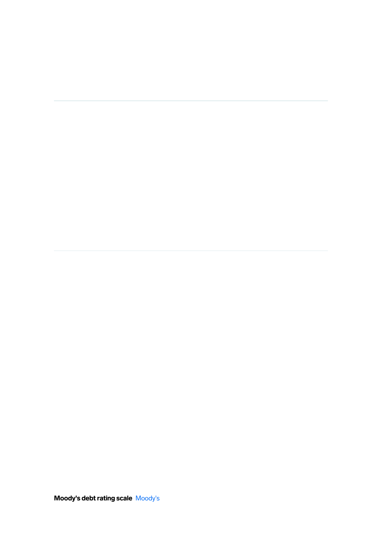Moody's debt rating scale [Moody's](https://www.moodys.com/sites/products/ProductAttachments/AP075378_1_1408_KI.pdf)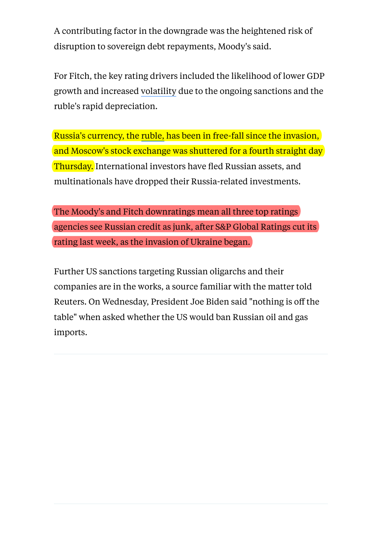A contributing factor in the downgrade was the heightened risk of disruption to sovereign debt repayments, Moody's said.

For Fitch, the key rating drivers included the likelihood of lower GDP growthand increased volatility due to the ongoing sanctions and the ruble's rapid depreciation.

Russia's currency, the [ruble,](https://markets.businessinsider.com/currencies/rub-usd?utm_medium=ingest&utm_source=markets&utm_medium=ingest&utm_source=markets) has been in free-fall since the invasion, and Moscow's stock exchange was shuttered for a fourth straight day Thursday. International investors have fled Russian assets, and multinationals have dropped their Russia-related investments.

The Moody's and Fitch downratings mean all three top ratings agencies see Russian credit as junk, after S&P Global Ratings cut its rating last week, as the invasion of Ukraine began.

Further US sanctions targeting Russian oligarchs and their companies are in the works, a source familiar with the matter told Reuters. On Wednesday, President Joe Biden said "nothing is off the table" when asked whether the US would ban Russian oil and gas imports.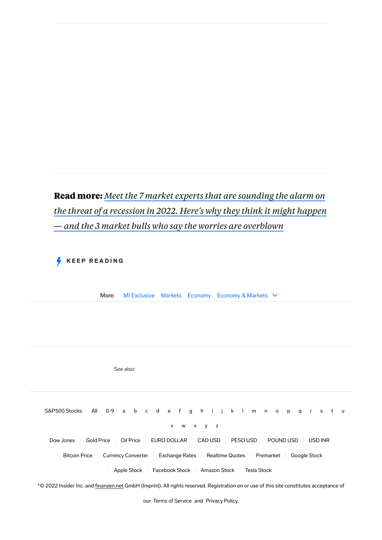## **Read more:** *[Meet the 7 market experts that are sounding the alarm on](https://www.businessinsider.com/investing-strategy-recession-outlook-risks-bear-market-crash-stocks-inflation-2022-3?r=US&IR=T&utm_medium=ingest&utm_source=markets) [the threat of a recession in 2022. Here's why they think it might happen](https://www.businessinsider.com/investing-strategy-recession-outlook-risks-bear-market-crash-stocks-inflation-2022-3?r=US&IR=T&utm_medium=ingest&utm_source=markets) [— and the 3 market bulls who say the worries are overblown](https://www.businessinsider.com/investing-strategy-recession-outlook-risks-bear-market-crash-stocks-inflation-2022-3?r=US&IR=T&utm_medium=ingest&utm_source=markets)*

KEEP READING

See also:

More: [MI Exclusive](https://www.businessinsider.com/category/mi-exclusive) [Markets](https://www.businessinsider.com/category/markets) [Economy](https://www.businessinsider.com/category/economy) [Economy & Markets](https://www.businessinsider.com/category/economy-markets)  $\vee$ 

S&P500 Stocks: [All](https://markets.businessinsider.com/index/components/s&p_500/) [0-9](https://markets.businessinsider.com/index/components/s&p_500/0-9) [a](https://markets.businessinsider.com/index/components/s&p_500/a) [b](https://markets.businessinsider.com/index/components/s&p_500/b) [c](https://markets.businessinsider.com/index/components/s&p_500/c) [d](https://markets.businessinsider.com/index/components/s&p_500/d) [e](https://markets.businessinsider.com/index/components/s&p_500/e) [f](https://markets.businessinsider.com/index/components/s&p_500/f) [g](https://markets.businessinsider.com/index/components/s&p_500/g) [h](https://markets.businessinsider.com/index/components/s&p_500/h) [i](https://markets.businessinsider.com/index/components/s&p_500/i) [j](https://markets.businessinsider.com/index/components/s&p_500/j) [k](https://markets.businessinsider.com/index/components/s&p_500/k) [l](https://markets.businessinsider.com/index/components/s&p_500/l) [m](https://markets.businessinsider.com/index/components/s&p_500/m) [n](https://markets.businessinsider.com/index/components/s&p_500/n) [o](https://markets.businessinsider.com/index/components/s&p_500/o) [p](https://markets.businessinsider.com/index/components/s&p_500/p) [q](https://markets.businessinsider.com/index/components/s&p_500/q) [r](https://markets.businessinsider.com/index/components/s&p_500/r) [s](https://markets.businessinsider.com/index/components/s&p_500/s) [t](https://markets.businessinsider.com/index/components/s&p_500/t) [u](https://markets.businessinsider.com/index/components/s&p_500/u) [v](https://markets.businessinsider.com/index/components/s&p_500/v) [w](https://markets.businessinsider.com/index/components/s&p_500/w) [x](https://markets.businessinsider.com/index/components/s&p_500/x) [y](https://markets.businessinsider.com/index/components/s&p_500/y) [z](https://markets.businessinsider.com/index/components/s&p_500/z) [Dow Jones](https://markets.businessinsider.com/index/dow_jones) | [Gold Price](https://markets.businessinsider.com/commodities/gold-price) | [Oil Price](https://markets.businessinsider.com/commodities/oil-price?type=wti) | [EURO DOLLAR](https://markets.businessinsider.com/currencies/eur-usd) | [CAD USD](https://markets.businessinsider.com/currencies/usd-cad) | [PESO USD](https://markets.businessinsider.com/currencies/usd-mxn) | [POUND USD](https://markets.businessinsider.com/currencies/gbp-usd) | [USD INR](https://markets.businessinsider.com/currencies/usd-inr) [Bitcoin Price](https://markets.businessinsider.com/currencies/btc-usd) | [Currency Converter](https://markets.businessinsider.com/currency-converter) | [Exchange Rates](https://markets.businessinsider.com/currencies) | [Realtime Quotes](https://markets.businessinsider.com/index/realtime-chart/dow_jones) | [Premarket](https://markets.businessinsider.com/premarket) | [Google Stock](https://markets.businessinsider.com/stocks/goog-stock) [Apple Stock](https://markets.businessinsider.com/stocks/aapl-stock) | [Facebook Stock](https://markets.businessinsider.com/stocks/fb-stock) | [Amazon Stock](https://markets.businessinsider.com/stocks/amzn-stock) | [Tesla Stock](https://markets.businessinsider.com/stocks/tsla-stock) [\\*© 2022](https://www.insider-inc.com/terms/) Insider Inc. and �[nanzen.net](https://www.finanzen.net/impressum) GmbH (Imprint). All rights reserved. Registration on or use of this site constitutes acceptance of

our [Terms of Service](https://www.insider-inc.com/terms/) and [Privacy Policy.](https://www.insider-inc.com/privacy-policy)